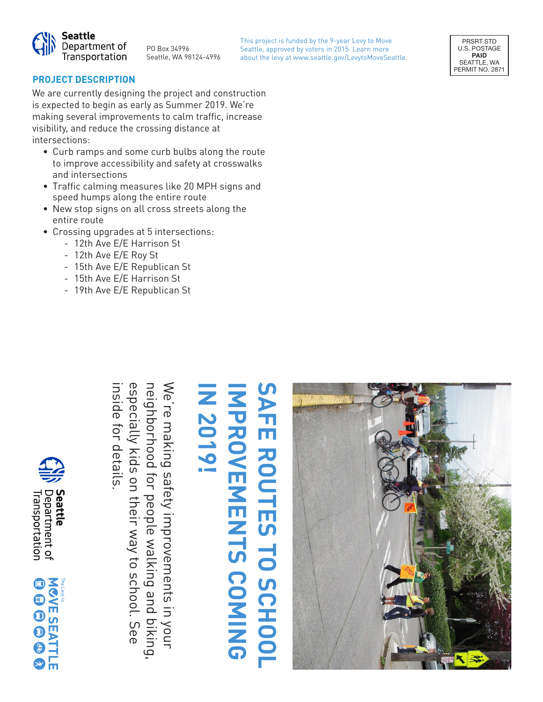

PO Box 34996 Seattle, WA 98124-4996 This project is funded by the 9-year Levy to Move Seattle, approved by voters in 2015. Learn more about the levy at www.seattle.gov/LevytoMoveSeattle.



#### **PROJECT DESCRIPTION**

We are currently designing the project and construction is expected to begin as early as Summer 2019. We're making several improvements to calm traffic, increase visibility, and reduce the crossing distance at intersections:

- Curb ramps and some curb bulbs along the route to improve accessibility and safety at crosswalks and intersections
- Traffic calming measures like 20 MPH signs and speed humps along the entire route
- New stop signs on all cross streets along the entire route
- Crossing upgrades at 5 intersections:
	- 12th Ave E/E Harrison St
	- 12th Ave E/E Roy St
	- 15th Ave E/E Republican St
	- 15th Ave E/E Harrison St

inside for details.

inside for details

especially kids on their way to school. See

especially kids on their way to school. See

neighborhood for people walking and biking,

l biking,

neighborhood for people walking and

We're making safety improvements in your

We're making safety improvements in your

- 19th Ave E/E Republican St

# **SAFE ROUTES TO SCHOOL IMPROVEMENTS COMING SAFE ROUTES TO SCHOOL IN 2019! NPROVEMENTS COMING**





류